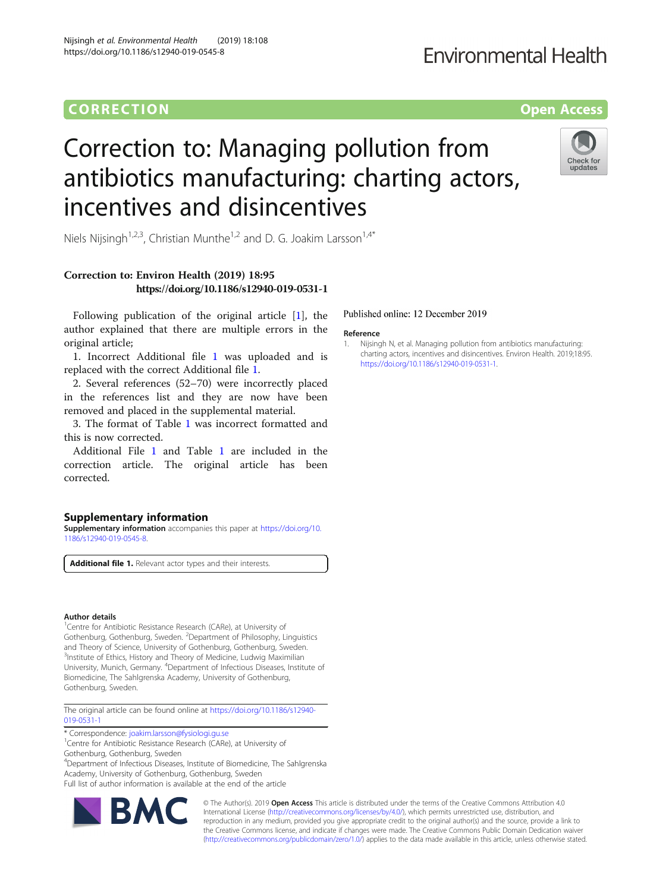### **CORRECTION CORRECTION CORRECTION**

## **Fnvironmental Health**



# Correction to: Managing pollution from antibiotics manufacturing: charting actors, incentives and disincentives



Niels Nijsingh<sup>1,2,3</sup>, Christian Munthe<sup>1,2</sup> and D. G. Joakim Larsson<sup>1,4\*</sup>

#### Correction to: Environ Health (2019) 18:95 https://doi.org/10.1186/s12940-019-0531-1

Following publication of the original article [1], the author explained that there are multiple errors in the original article;

1. Incorrect Additional file 1 was uploaded and is replaced with the correct Additional file 1.

2. Several references (52–70) were incorrectly placed in the references list and they are now have been removed and placed in the supplemental material.

3. The format of Table [1](#page-1-0) was incorrect formatted and this is now corrected.

Additional File 1 and Table [1](#page-1-0) are included in the correction article. The original article has been corrected.

#### Supplementary information

Supplementary information accompanies this paper at [https://doi.org/10.](https://doi.org/10.1186/s12940-019-0545-8) [1186/s12940-019-0545-8.](https://doi.org/10.1186/s12940-019-0545-8)

Additional file 1. Relevant actor types and their interests.

#### Author details

<sup>1</sup>Centre for Antibiotic Resistance Research (CARe), at University of Gothenburg, Gothenburg, Sweden. <sup>2</sup>Department of Philosophy, Linguistics and Theory of Science, University of Gothenburg, Gothenburg, Sweden. <sup>3</sup>Institute of Ethics, History and Theory of Medicine, Ludwig Maximilian University, Munich, Germany. <sup>4</sup> Department of Infectious Diseases, Institute of Biomedicine, The Sahlgrenska Academy, University of Gothenburg, Gothenburg, Sweden.

The original article can be found online at [https://doi.org/10.1186/s12940-](https://doi.org/10.1186/s12940-019-0531-1) [019-0531-1](https://doi.org/10.1186/s12940-019-0531-1)

\* Correspondence: [joakim.larsson@fysiologi.gu.se](mailto:joakim.larsson@fysiologi.gu.se) <sup>1</sup>

<sup>1</sup>Centre for Antibiotic Resistance Research (CARe), at University of Gothenburg, Gothenburg, Sweden

4 Department of Infectious Diseases, Institute of Biomedicine, The Sahlgrenska Academy, University of Gothenburg, Gothenburg, Sweden Full list of author information is available at the end of the article



© The Author(s). 2019 **Open Access** This article is distributed under the terms of the Creative Commons Attribution 4.0 International License [\(http://creativecommons.org/licenses/by/4.0/](http://creativecommons.org/licenses/by/4.0/)), which permits unrestricted use, distribution, and reproduction in any medium, provided you give appropriate credit to the original author(s) and the source, provide a link to the Creative Commons license, and indicate if changes were made. The Creative Commons Public Domain Dedication waiver [\(http://creativecommons.org/publicdomain/zero/1.0/](http://creativecommons.org/publicdomain/zero/1.0/)) applies to the data made available in this article, unless otherwise stated.

#### Published online: 12 December 2019

#### Reference

1. Nijsingh N, et al. Managing pollution from antibiotics manufacturing: charting actors, incentives and disincentives. Environ Health. 2019;18:95. <https://doi.org/10.1186/s12940-019-0531-1>.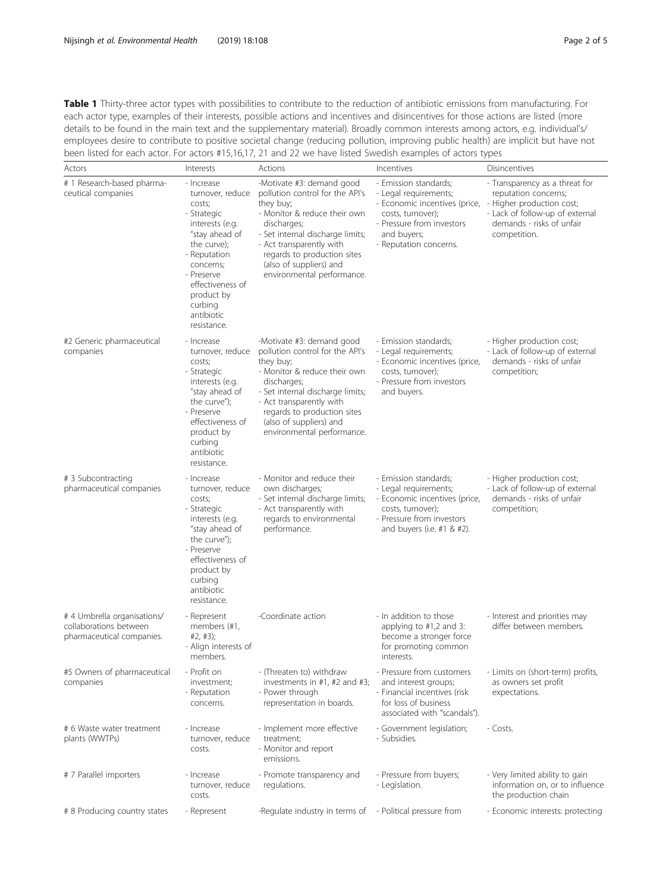<span id="page-1-0"></span>Table 1 Thirty-three actor types with possibilities to contribute to the reduction of antibiotic emissions from manufacturing. For each actor type, examples of their interests, possible actions and incentives and disincentives for those actions are listed (more details to be found in the main text and the supplementary material). Broadly common interests among actors, e.g. individual's/ employees desire to contribute to positive societal change (reducing pollution, improving public health) are implicit but have not been listed for each actor. For actors #15,16,17, 21 and 22 we have listed Swedish examples of actors types

| Actors                                                                             | Interests                                                                                                                                                                                                                        | Actions                                                                                                                                                                                                                                                                          | Incentives                                                                                                                                                                 | Disincentives                                                                                                                                                       |
|------------------------------------------------------------------------------------|----------------------------------------------------------------------------------------------------------------------------------------------------------------------------------------------------------------------------------|----------------------------------------------------------------------------------------------------------------------------------------------------------------------------------------------------------------------------------------------------------------------------------|----------------------------------------------------------------------------------------------------------------------------------------------------------------------------|---------------------------------------------------------------------------------------------------------------------------------------------------------------------|
| # 1 Research-based pharma-<br>ceutical companies                                   | - Increase<br>turnover, reduce<br>costs;<br>- Strategic<br>interests (e.g.<br>"stay ahead of<br>the curve);<br>- Reputation<br>concerns;<br>- Preserve<br>effectiveness of<br>product by<br>curbing<br>antibiotic<br>resistance. | -Motivate #3: demand good<br>pollution control for the API's<br>they buy;<br>- Monitor & reduce their own<br>discharges;<br>- Set internal discharge limits;<br>- Act transparently with<br>regards to production sites<br>(also of suppliers) and<br>environmental performance. | - Emission standards;<br>- Legal requirements;<br>- Economic incentives (price,<br>costs, turnover);<br>- Pressure from investors<br>and buyers;<br>- Reputation concerns. | - Transparency as a threat for<br>reputation concerns;<br>- Higher production cost;<br>- Lack of follow-up of external<br>demands - risks of unfair<br>competition. |
| #2 Generic pharmaceutical<br>companies                                             | - Increase<br>turnover, reduce<br>costs;<br>- Strategic<br>interests (e.g.<br>"stay ahead of<br>the curve");<br>- Preserve<br>effectiveness of<br>product by<br>curbing<br>antibiotic<br>resistance.                             | -Motivate #3: demand good<br>pollution control for the API's<br>they buy;<br>- Monitor & reduce their own<br>discharges;<br>- Set internal discharge limits;<br>- Act transparently with<br>regards to production sites<br>(also of suppliers) and<br>environmental performance. | - Emission standards;<br>- Legal requirements;<br>- Economic incentives (price,<br>costs, turnover);<br>- Pressure from investors<br>and buyers.                           | - Higher production cost;<br>- Lack of follow-up of external<br>demands - risks of unfair<br>competition;                                                           |
| # 3 Subcontracting<br>pharmaceutical companies                                     | - Increase<br>turnover, reduce<br>costs;<br>- Strategic<br>interests (e.g.<br>"stay ahead of<br>the curve");<br>- Preserve<br>effectiveness of<br>product by<br>curbing<br>antibiotic<br>resistance.                             | - Monitor and reduce their<br>own discharges;<br>- Set internal discharge limits;<br>- Act transparently with<br>regards to environmental<br>performance.                                                                                                                        | - Emission standards;<br>- Legal requirements;<br>- Economic incentives (price,<br>costs, turnover);<br>- Pressure from investors<br>and buyers (i.e. #1 & #2).            | - Higher production cost;<br>- Lack of follow-up of external<br>demands - risks of unfair<br>competition;                                                           |
| # 4 Umbrella organisations/<br>collaborations between<br>pharmaceutical companies. | - Represent<br>members (#1,<br>#2, #3);<br>- Align interests of<br>members.                                                                                                                                                      | -Coordinate action                                                                                                                                                                                                                                                               | - In addition to those<br>applying to #1,2 and 3:<br>become a stronger force<br>for promoting common<br>interests.                                                         | - Interest and priorities may<br>differ between members.                                                                                                            |
| #5 Owners of pharmaceutical<br>companies                                           | - Profit on<br>investment;<br>- Reputation<br>concerns.                                                                                                                                                                          | - (Threaten to) withdraw<br>investments in $#1, #2$ and $#3;$<br>- Power through<br>representation in boards.                                                                                                                                                                    | - Pressure from customers<br>and interest groups;<br>- Financial incentives (risk<br>for loss of business<br>associated with "scandals").                                  | - Limits on (short-term) profits,<br>as owners set profit<br>expectations.                                                                                          |
| # 6 Waste water treatment<br>plants (WWTPs)                                        | - Increase<br>turnover, reduce<br>costs.                                                                                                                                                                                         | - Implement more effective<br>treatment;<br>- Monitor and report<br>emissions.                                                                                                                                                                                                   | - Government legislation;<br>- Subsidies.                                                                                                                                  | - Costs.                                                                                                                                                            |
| # 7 Parallel importers                                                             | - Increase<br>turnover, reduce<br>costs.                                                                                                                                                                                         | - Promote transparency and<br>regulations.                                                                                                                                                                                                                                       | - Pressure from buyers;<br>- Legislation.                                                                                                                                  | - Very limited ability to gain<br>information on, or to influence<br>the production chain                                                                           |
| # 8 Producing country states                                                       | - Represent                                                                                                                                                                                                                      | -Regulate industry in terms of                                                                                                                                                                                                                                                   | - Political pressure from                                                                                                                                                  | - Economic interests: protecting                                                                                                                                    |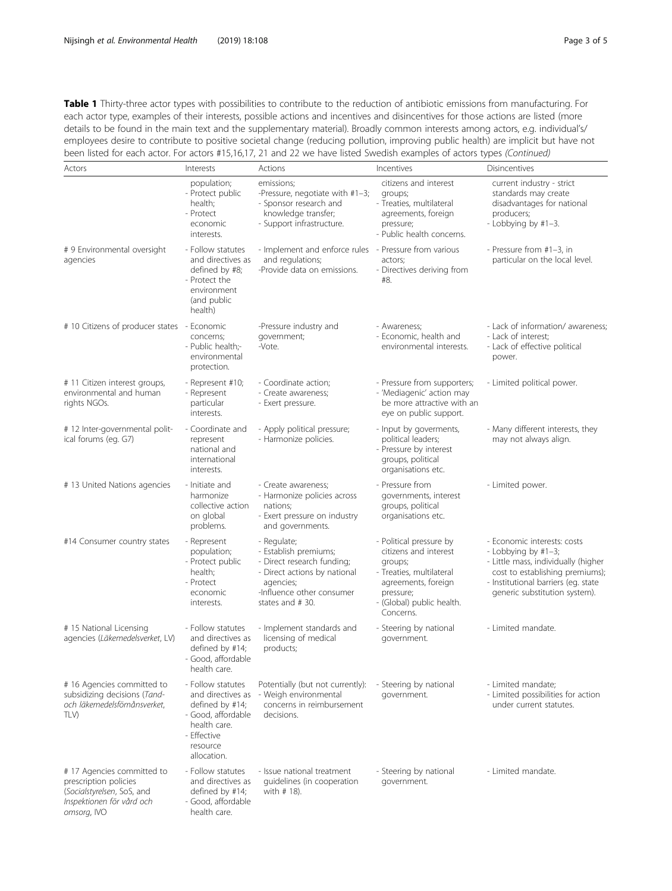Table 1 Thirty-three actor types with possibilities to contribute to the reduction of antibiotic emissions from manufacturing. For each actor type, examples of their interests, possible actions and incentives and disincentives for those actions are listed (more details to be found in the main text and the supplementary material). Broadly common interests among actors, e.g. individual's/ employees desire to contribute to positive societal change (reducing pollution, improving public health) are implicit but have not been listed for each actor. For actors #15,16,17, 21 and 22 we have listed Swedish examples of actors types (Continued)

| Actors                                                                                                                        | Interests                                                                                                                                 | Actions                                                                                                                                                         | Incentives                                                                                                                                                            | Disincentives                                                                                                                                                                                        |
|-------------------------------------------------------------------------------------------------------------------------------|-------------------------------------------------------------------------------------------------------------------------------------------|-----------------------------------------------------------------------------------------------------------------------------------------------------------------|-----------------------------------------------------------------------------------------------------------------------------------------------------------------------|------------------------------------------------------------------------------------------------------------------------------------------------------------------------------------------------------|
|                                                                                                                               | population;<br>- Protect public<br>health;<br>- Protect<br>economic<br>interests.                                                         | emissions;<br>-Pressure, negotiate with #1-3;<br>- Sponsor research and<br>knowledge transfer;<br>- Support infrastructure.                                     | citizens and interest<br>groups;<br>- Treaties, multilateral<br>agreements, foreign<br>pressure;<br>- Public health concerns.                                         | current industry - strict<br>standards may create<br>disadvantages for national<br>producers;<br>- Lobbying by #1-3.                                                                                 |
| # 9 Environmental oversight<br>agencies                                                                                       | - Follow statutes<br>and directives as<br>defined by #8;<br>- Protect the<br>environment<br>(and public<br>health)                        | - Implement and enforce rules - Pressure from various<br>and regulations;<br>-Provide data on emissions.                                                        | actors;<br>- Directives deriving from<br>#8.                                                                                                                          | - Pressure from #1-3, in<br>particular on the local level.                                                                                                                                           |
| # 10 Citizens of producer states - Economic                                                                                   | concerns;<br>- Public health;-<br>environmental<br>protection.                                                                            | -Pressure industry and<br>government;<br>-Vote.                                                                                                                 | - Awareness;<br>- Economic, health and<br>environmental interests.                                                                                                    | - Lack of information/ awareness;<br>- Lack of interest;<br>- Lack of effective political<br>power.                                                                                                  |
| # 11 Citizen interest groups,<br>environmental and human<br>rights NGOs.                                                      | - Represent #10;<br>- Represent<br>particular<br>interests.                                                                               | - Coordinate action;<br>- Create awareness;<br>- Exert pressure.                                                                                                | - Pressure from supporters;<br>- 'Mediagenic' action may<br>be more attractive with an<br>eye on public support.                                                      | - Limited political power.                                                                                                                                                                           |
| # 12 Inter-governmental polit-<br>ical forums (eg. G7)                                                                        | - Coordinate and<br>represent<br>national and<br>international<br>interests.                                                              | - Apply political pressure;<br>- Harmonize policies.                                                                                                            | - Input by goverments,<br>political leaders;<br>- Pressure by interest<br>groups, political<br>organisations etc.                                                     | - Many different interests, they<br>may not always align.                                                                                                                                            |
| # 13 United Nations agencies                                                                                                  | - Initiate and<br>harmonize<br>collective action<br>on global<br>problems.                                                                | - Create awareness;<br>- Harmonize policies across<br>nations;<br>- Exert pressure on industry<br>and governments.                                              | - Pressure from<br>governments, interest<br>groups, political<br>organisations etc.                                                                                   | - Limited power.                                                                                                                                                                                     |
| #14 Consumer country states                                                                                                   | - Represent<br>population;<br>- Protect public<br>health;<br>- Protect<br>economic<br>interests.                                          | - Regulate;<br>- Establish premiums;<br>- Direct research funding;<br>- Direct actions by national<br>agencies;<br>-Influence other consumer<br>states and #30. | - Political pressure by<br>citizens and interest<br>groups;<br>- Treaties, multilateral<br>agreements, foreign<br>pressure;<br>- (Global) public health.<br>Concerns. | - Economic interests: costs<br>- Lobbying by #1-3;<br>- Little mass, individually (higher<br>cost to establishing premiums);<br>- Institutional barriers (eg. state<br>generic substitution system). |
| # 15 National Licensing<br>agencies (Läkemedelsverket, LV)                                                                    | - Follow statutes<br>and directives as<br>defined by #14;<br>- Good, affordable<br>health care.                                           | - Implement standards and<br>licensing of medical<br>products;                                                                                                  | - Steering by national<br>government.                                                                                                                                 | - Limited mandate.                                                                                                                                                                                   |
| # 16 Agencies committed to<br>subsidizing decisions (Tand-<br>och läkemedelsfömånsverket.<br>TLV)                             | - Follow statutes<br>and directives as<br>defined by #14;<br>- Good, affordable<br>health care.<br>- Effective<br>resource<br>allocation. | Potentially (but not currently):<br>- Weigh environmental<br>concerns in reimbursement<br>decisions.                                                            | - Steering by national<br>government.                                                                                                                                 | - Limited mandate;<br>- Limited possibilities for action<br>under current statutes.                                                                                                                  |
| # 17 Agencies committed to<br>prescription policies<br>(Socialstyrelsen, SoS, and<br>Inspektionen för vård och<br>omsorg, IVO | - Follow statutes<br>and directives as<br>defined by #14;<br>- Good, affordable<br>health care.                                           | - Issue national treatment<br>quidelines (in cooperation<br>with # 18).                                                                                         | - Steering by national<br>government.                                                                                                                                 | - Limited mandate.                                                                                                                                                                                   |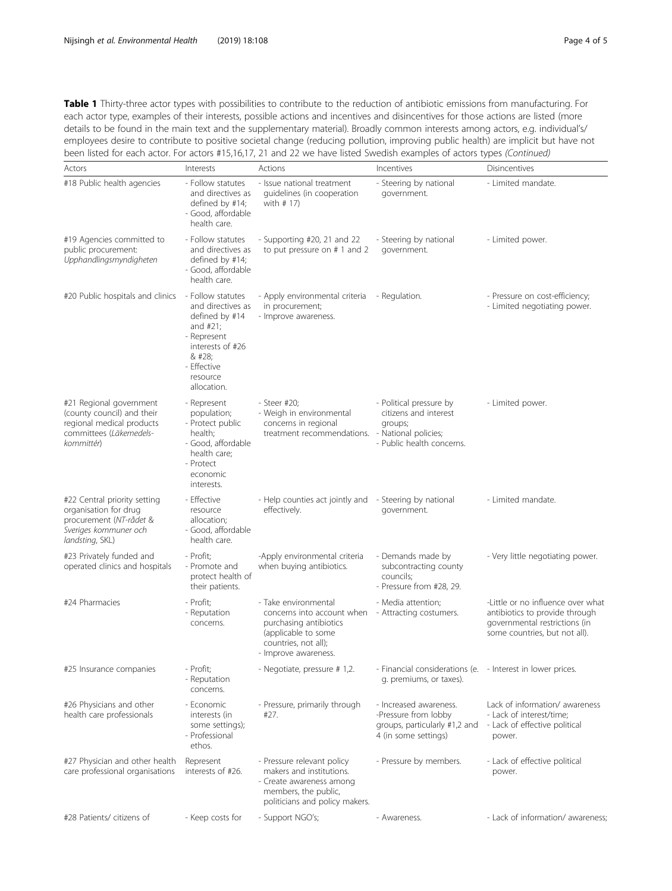Table 1 Thirty-three actor types with possibilities to contribute to the reduction of antibiotic emissions from manufacturing. For each actor type, examples of their interests, possible actions and incentives and disincentives for those actions are listed (more details to be found in the main text and the supplementary material). Broadly common interests among actors, e.g. individual's/ employees desire to contribute to positive societal change (reducing pollution, improving public health) are implicit but have not been listed for each actor. For actors #15,16,17, 21 and 22 we have listed Swedish examples of actors types (Continued)

| Actors                                                                                                                       | Interests                                                                                                                                                   | Actions                                                                                                                                             | Incentives                                                                                              | Disincentives                                                                                                                         |
|------------------------------------------------------------------------------------------------------------------------------|-------------------------------------------------------------------------------------------------------------------------------------------------------------|-----------------------------------------------------------------------------------------------------------------------------------------------------|---------------------------------------------------------------------------------------------------------|---------------------------------------------------------------------------------------------------------------------------------------|
| #18 Public health agencies                                                                                                   | - Follow statutes<br>and directives as<br>defined by #14;<br>- Good, affordable<br>health care.                                                             | - Issue national treatment<br>quidelines (in cooperation<br>with # 17)                                                                              | - Steering by national<br>government.                                                                   | - Limited mandate.                                                                                                                    |
| #19 Agencies committed to<br>public procurement:<br>Upphandlingsmyndigheten                                                  | - Follow statutes<br>and directives as<br>defined by #14;<br>- Good, affordable<br>health care.                                                             | - Supporting #20, 21 and 22<br>to put pressure on # 1 and 2                                                                                         | - Steering by national<br>government.                                                                   | - Limited power.                                                                                                                      |
| #20 Public hospitals and clinics                                                                                             | - Follow statutes<br>and directives as<br>defined by #14<br>and #21;<br>- Represent<br>interests of #26<br>& #28;<br>- Effective<br>resource<br>allocation. | - Apply environmental criteria<br>in procurement;<br>- Improve awareness.                                                                           | - Regulation.                                                                                           | - Pressure on cost-efficiency;<br>- Limited negotiating power.                                                                        |
| #21 Regional government<br>(county council) and their<br>regional medical products<br>committees (Läkemedels-<br>kommittér)  | - Represent<br>population;<br>- Protect public<br>health;<br>- Good, affordable<br>health care;<br>- Protect<br>economic<br>interests.                      | - Steer #20;<br>- Weigh in environmental<br>concerns in regional<br>treatment recommendations. - National policies;                                 | - Political pressure by<br>citizens and interest<br>groups;<br>- Public health concerns.                | - Limited power.                                                                                                                      |
| #22 Central priority setting<br>organisation for drug<br>procurement (NT-rådet &<br>Sveriges kommuner och<br>landsting, SKL) | - Effective<br>resource<br>allocation;<br>- Good, affordable<br>health care.                                                                                | - Help counties act jointly and - Steering by national<br>effectively.                                                                              | government.                                                                                             | - Limited mandate.                                                                                                                    |
| #23 Privately funded and<br>operated clinics and hospitals                                                                   | - Profit;<br>- Promote and<br>protect health of<br>their patients.                                                                                          | -Apply environmental criteria<br>when buying antibiotics.                                                                                           | - Demands made by<br>subcontracting county<br>councils;<br>- Pressure from #28, 29.                     | - Very little negotiating power.                                                                                                      |
| #24 Pharmacies                                                                                                               | - Profit;<br>- Reputation<br>concerns.                                                                                                                      | - Take environmental<br>concerns into account when<br>purchasing antibiotics<br>(applicable to some<br>countries, not all);<br>- Improve awareness. | - Media attention;<br>- Attracting costumers.                                                           | -Little or no influence over what<br>antibiotics to provide through<br>governmental restrictions (in<br>some countries, but not all). |
| #25 Insurance companies                                                                                                      | - Profit;<br>- Reputation<br>concerns.                                                                                                                      | - Negotiate, pressure # 1,2.                                                                                                                        | - Financial considerations (e. - Interest in lower prices.<br>g. premiums, or taxes).                   |                                                                                                                                       |
| #26 Physicians and other<br>health care professionals                                                                        | - Economic<br>interests (in<br>some settings);<br>- Professional<br>ethos.                                                                                  | - Pressure, primarily through<br>#27.                                                                                                               | - Increased awareness.<br>-Pressure from lobby<br>groups, particularly #1,2 and<br>4 (in some settings) | Lack of information/ awareness<br>- Lack of interest/time;<br>- Lack of effective political<br>power.                                 |
| #27 Physician and other health<br>care professional organisations                                                            | Represent<br>interests of #26.                                                                                                                              | - Pressure relevant policy<br>makers and institutions.<br>- Create awareness among<br>members, the public,<br>politicians and policy makers.        | - Pressure by members.                                                                                  | - Lack of effective political<br>power.                                                                                               |
| #28 Patients/ citizens of                                                                                                    | - Keep costs for                                                                                                                                            | - Support NGO's;                                                                                                                                    | - Awareness.                                                                                            | - Lack of information/ awareness;                                                                                                     |